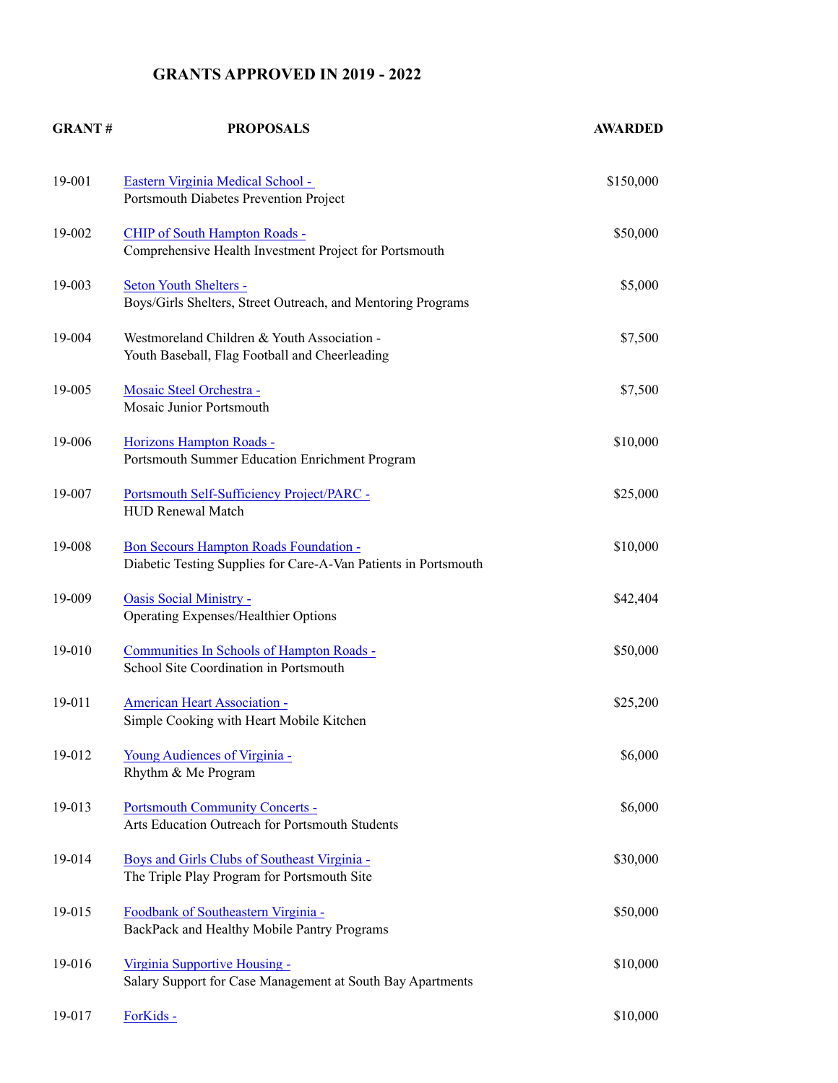## **GRANTS APPROVED IN 2019 - 2022**

| <b>GRANT#</b> | <b>PROPOSALS</b>                                                                                          | <b>AWARDED</b> |
|---------------|-----------------------------------------------------------------------------------------------------------|----------------|
| 19-001        | Eastern Virginia Medical School -<br>Portsmouth Diabetes Prevention Project                               | \$150,000      |
| 19-002        | CHIP of South Hampton Roads -<br>Comprehensive Health Investment Project for Portsmouth                   | \$50,000       |
| 19-003        | Seton Youth Shelters -<br>Boys/Girls Shelters, Street Outreach, and Mentoring Programs                    | \$5,000        |
| 19-004        | Westmoreland Children & Youth Association -<br>Youth Baseball, Flag Football and Cheerleading             | \$7,500        |
| 19-005        | Mosaic Steel Orchestra -<br>Mosaic Junior Portsmouth                                                      | \$7,500        |
| 19-006        | Horizons Hampton Roads -<br>Portsmouth Summer Education Enrichment Program                                | \$10,000       |
| 19-007        | Portsmouth Self-Sufficiency Project/PARC -<br><b>HUD Renewal Match</b>                                    | \$25,000       |
| 19-008        | Bon Secours Hampton Roads Foundation -<br>Diabetic Testing Supplies for Care-A-Van Patients in Portsmouth | \$10,000       |
| 19-009        | Oasis Social Ministry -<br>Operating Expenses/Healthier Options                                           | \$42,404       |
| 19-010        | Communities In Schools of Hampton Roads -<br>School Site Coordination in Portsmouth                       | \$50,000       |
| 19-011        | <b>American Heart Association -</b><br>Simple Cooking with Heart Mobile Kitchen                           | \$25,200       |
| 19-012        | Young Audiences of Virginia -<br>Rhythm & Me Program                                                      | \$6,000        |
| 19-013        | Portsmouth Community Concerts -<br>Arts Education Outreach for Portsmouth Students                        | \$6,000        |
| 19-014        | Boys and Girls Clubs of Southeast Virginia -<br>The Triple Play Program for Portsmouth Site               | \$30,000       |
| 19-015        | Foodbank of Southeastern Virginia -<br>BackPack and Healthy Mobile Pantry Programs                        | \$50,000       |
| 19-016        | Virginia Supportive Housing -<br>Salary Support for Case Management at South Bay Apartments               | \$10,000       |
| 19-017        | ForKids-                                                                                                  | \$10,000       |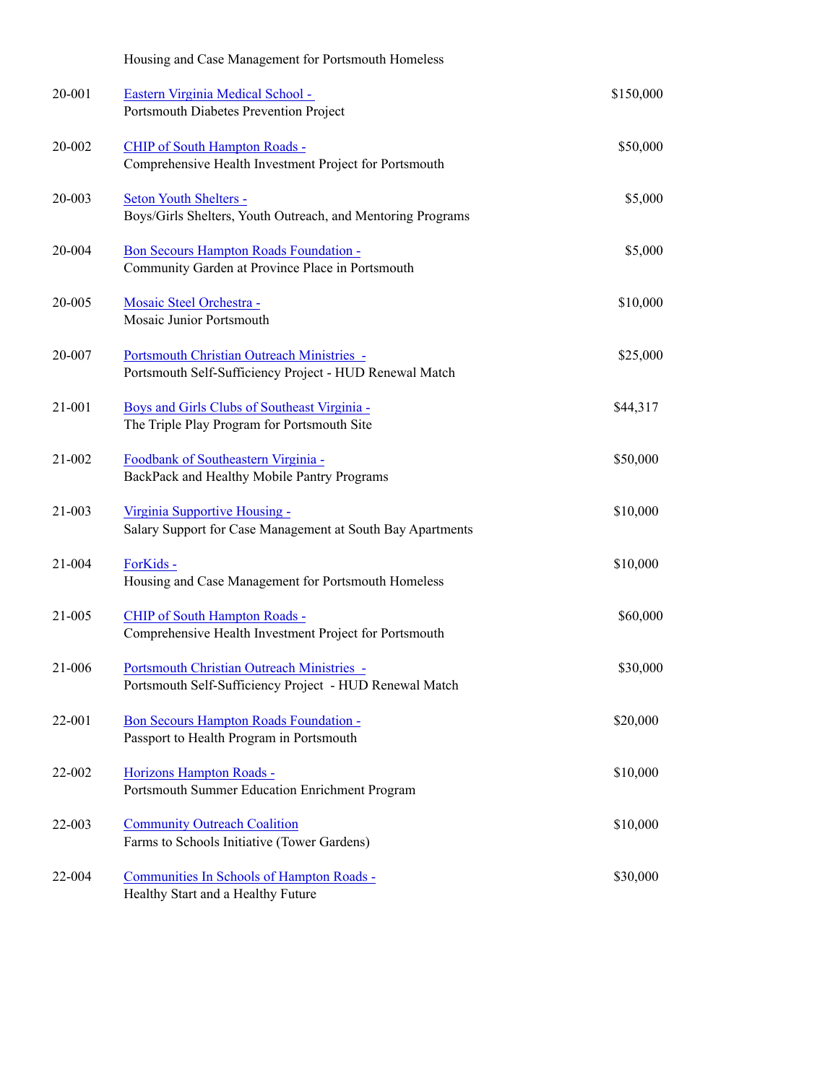|        | Housing and Case Management for Portsmouth Homeless                                                   |           |
|--------|-------------------------------------------------------------------------------------------------------|-----------|
| 20-001 | Eastern Virginia Medical School -<br>Portsmouth Diabetes Prevention Project                           | \$150,000 |
| 20-002 | <b>CHIP of South Hampton Roads -</b><br>Comprehensive Health Investment Project for Portsmouth        | \$50,000  |
| 20-003 | Seton Youth Shelters -<br>Boys/Girls Shelters, Youth Outreach, and Mentoring Programs                 | \$5,000   |
| 20-004 | Bon Secours Hampton Roads Foundation -<br>Community Garden at Province Place in Portsmouth            | \$5,000   |
| 20-005 | Mosaic Steel Orchestra -<br>Mosaic Junior Portsmouth                                                  | \$10,000  |
| 20-007 | Portsmouth Christian Outreach Ministries -<br>Portsmouth Self-Sufficiency Project - HUD Renewal Match | \$25,000  |
| 21-001 | Boys and Girls Clubs of Southeast Virginia -<br>The Triple Play Program for Portsmouth Site           | \$44,317  |
| 21-002 | Foodbank of Southeastern Virginia -<br>BackPack and Healthy Mobile Pantry Programs                    | \$50,000  |
| 21-003 | Virginia Supportive Housing -<br>Salary Support for Case Management at South Bay Apartments           | \$10,000  |
| 21-004 | ForKids -<br>Housing and Case Management for Portsmouth Homeless                                      | \$10,000  |
| 21-005 | CHIP of South Hampton Roads -<br>Comprehensive Health Investment Project for Portsmouth               | \$60,000  |
| 21-006 | Portsmouth Christian Outreach Ministries -<br>Portsmouth Self-Sufficiency Project - HUD Renewal Match | \$30,000  |
| 22-001 | Bon Secours Hampton Roads Foundation -<br>Passport to Health Program in Portsmouth                    | \$20,000  |
| 22-002 | Horizons Hampton Roads -<br>Portsmouth Summer Education Enrichment Program                            | \$10,000  |
| 22-003 | <b>Community Outreach Coalition</b><br>Farms to Schools Initiative (Tower Gardens)                    | \$10,000  |
| 22-004 | Communities In Schools of Hampton Roads -<br>Healthy Start and a Healthy Future                       | \$30,000  |